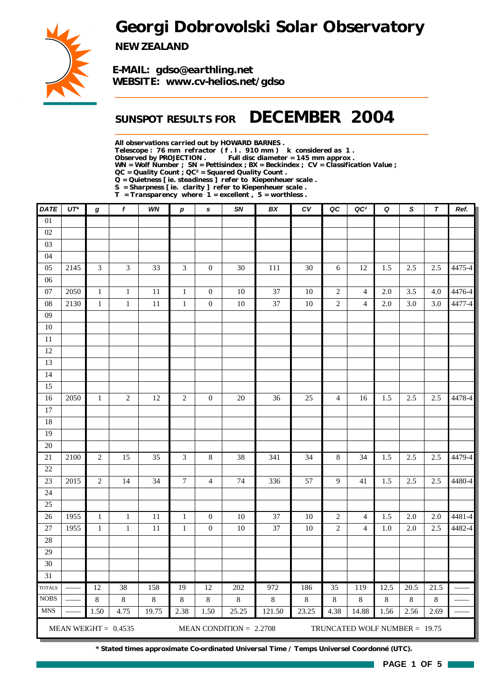*Georgi Dobrovolski Solar Observatory*



*NEW ZEALAND*

*E-MAIL: gdso@earthling.net WEBSITE: www.cv-helios.net/gdso*

## *SUNSPOT RESULTS FOR DECEMBER 2004*

*All observations carried out by HOWARD BARNES .*

*Telescope : 76 mm refractor ( f . l . 910 mm ) k considered as 1 .*

Full disc diameter = 145 mm approx .

*WN = Wolf Number ; SN = Pettisindex ; BX = Beckindex ; CV = Classification Value ;*

*QC = Quality Count ; QC² = Squared Quality Count .*

*Q = Quietness [ ie. steadiness ] refer to Kiepenheuer scale .*

*S = Sharpness [ ie. clarity ] refer to Kiepenheuer scale .*

*T = Transparency where 1 = excellent , 5 = worthless .*

| <b>DATE</b>     | UT*  | g              | f                      | WN      | $\pmb{p}$        | s                | SN                        | ВX      | CV      | QC             | QC <sup>2</sup>               | Q       | S       | T       | Ref.   |
|-----------------|------|----------------|------------------------|---------|------------------|------------------|---------------------------|---------|---------|----------------|-------------------------------|---------|---------|---------|--------|
| 01              |      |                |                        |         |                  |                  |                           |         |         |                |                               |         |         |         |        |
| 02              |      |                |                        |         |                  |                  |                           |         |         |                |                               |         |         |         |        |
| 03              |      |                |                        |         |                  |                  |                           |         |         |                |                               |         |         |         |        |
| 04              |      |                |                        |         |                  |                  |                           |         |         |                |                               |         |         |         |        |
| 05              | 2145 | $\mathfrak{Z}$ | $\mathfrak{Z}$         | 33      | $\mathfrak{Z}$   | $\boldsymbol{0}$ | 30                        | 111     | $30\,$  | 6              | 12                            | 1.5     | 2.5     | 2.5     | 4475-4 |
| 06              |      |                |                        |         |                  |                  |                           |         |         |                |                               |         |         |         |        |
| $07\,$          | 2050 | $\mathbf{1}$   | $\mathbf{1}$           | 11      | $\mathbf{1}$     | $\boldsymbol{0}$ | 10                        | 37      | $10\,$  | $\overline{c}$ | $\overline{4}$                | 2.0     | 3.5     | 4.0     | 4476-4 |
| 08              | 2130 | $\,1$          | $\mathbf 1$            | 11      | $\mathbf 1$      | $\boldsymbol{0}$ | 10                        | 37      | $10\,$  | $\sqrt{2}$     | $\overline{4}$                | 2.0     | 3.0     | 3.0     | 4477-4 |
| 09              |      |                |                        |         |                  |                  |                           |         |         |                |                               |         |         |         |        |
| $10\,$          |      |                |                        |         |                  |                  |                           |         |         |                |                               |         |         |         |        |
| $11\,$          |      |                |                        |         |                  |                  |                           |         |         |                |                               |         |         |         |        |
| 12              |      |                |                        |         |                  |                  |                           |         |         |                |                               |         |         |         |        |
| 13              |      |                |                        |         |                  |                  |                           |         |         |                |                               |         |         |         |        |
| 14              |      |                |                        |         |                  |                  |                           |         |         |                |                               |         |         |         |        |
| 15              |      |                |                        |         |                  |                  |                           |         |         |                |                               |         |         |         |        |
| 16              | 2050 | $\mathbf{1}$   | $\sqrt{2}$             | 12      | $\sqrt{2}$       | $\boldsymbol{0}$ | $20\,$                    | 36      | 25      | $\overline{4}$ | 16                            | 1.5     | 2.5     | 2.5     | 4478-4 |
| 17              |      |                |                        |         |                  |                  |                           |         |         |                |                               |         |         |         |        |
| 18              |      |                |                        |         |                  |                  |                           |         |         |                |                               |         |         |         |        |
| 19              |      |                |                        |         |                  |                  |                           |         |         |                |                               |         |         |         |        |
| 20              |      |                |                        |         |                  |                  |                           |         |         |                |                               |         |         |         |        |
| $21\,$          | 2100 | $\overline{2}$ | 15                     | 35      | $\overline{3}$   | $\,8\,$          | 38                        | 341     | 34      | $8\,$          | 34                            | 1.5     | 2.5     | 2.5     | 4479-4 |
| $22\,$          |      |                |                        |         |                  |                  |                           |         |         |                |                               |         |         |         |        |
| 23              | 2015 | $\sqrt{2}$     | 14                     | 34      | $\boldsymbol{7}$ | $\overline{4}$   | 74                        | 336     | 57      | $\overline{9}$ | 41                            | 1.5     | 2.5     | 2.5     | 4480-4 |
| 24              |      |                |                        |         |                  |                  |                           |         |         |                |                               |         |         |         |        |
| 25              |      |                |                        |         |                  |                  |                           |         |         |                |                               |         |         |         |        |
| 26              | 1955 | $\mathbf{1}$   | $\mathbf{1}$           | 11      | $\mathbf{1}$     | $\boldsymbol{0}$ | $10\,$                    | 37      | $10\,$  | $\overline{c}$ | $\overline{4}$                | 1.5     | 2.0     | 2.0     | 4481-4 |
| $27\,$          | 1955 | $\mathbf 1$    | $\mathbf 1$            | $11\,$  | $\,1\,$          | $\boldsymbol{0}$ | $10\,$                    | 37      | $10\,$  | $\sqrt{2}$     | $\overline{4}$                | 1.0     | 2.0     | 2.5     | 4482-4 |
| 28              |      |                |                        |         |                  |                  |                           |         |         |                |                               |         |         |         |        |
| 29              |      |                |                        |         |                  |                  |                           |         |         |                |                               |         |         |         |        |
| 30              |      |                |                        |         |                  |                  |                           |         |         |                |                               |         |         |         |        |
| $\overline{31}$ |      |                |                        |         |                  |                  |                           |         |         |                |                               |         |         |         |        |
| <b>TOTALS</b>   |      | 12             | 38                     | 158     | 19               | 12               | 202                       | 972     | 186     | 35             | 119                           | 12.5    | 20.5    | 21.5    |        |
| <b>NOBS</b>     |      | $\,8\,$        | $\,8\,$                | $\,8\,$ | $\,$ 8 $\,$      | $\,8\,$          | $8\,$                     | $\,8\,$ | $\,8\,$ | $\,8\,$        | $\,8\,$                       | $\,8\,$ | $\,8\,$ | $\,8\,$ |        |
| <b>MNS</b>      |      | 1.50           | 4.75                   | 19.75   | 2.38             | 1.50             | 25.25                     | 121.50  | 23.25   | 4.38           | 14.88                         | 1.56    | 2.56    | 2.69    |        |
|                 |      |                | MEAN WEIGHT = $0.4535$ |         |                  |                  | MEAN CONDITION = $2.2708$ |         |         |                | TRUNCATED WOLF NUMBER = 19.75 |         |         |         |        |

*\* Stated times approximate Co-ordinated Universal Time / Temps Universel Coordonné (UTC).*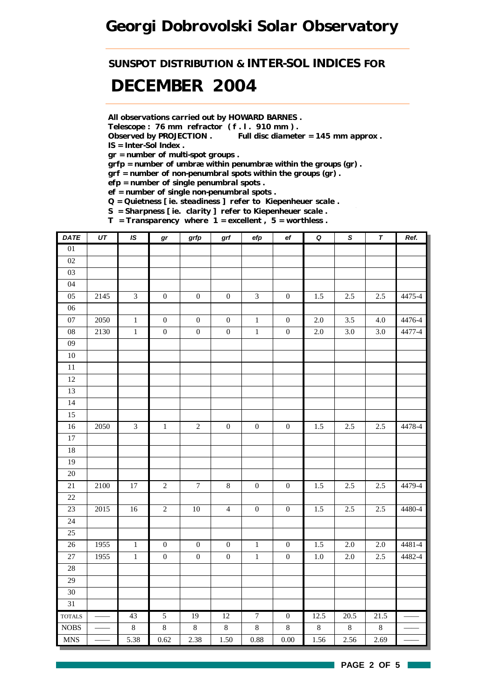## *Georgi Dobrovolski Solar Observatory*

*SUNSPOT DISTRIBUTION & INTER-SOL INDICES FOR*

# *DECEMBER 2004*

*All observations carried out by HOWARD BARNES .*

*Telescope : 76 mm refractor ( f . l . 910 mm ) .*

*Observed by PROJECTION . Full disc diameter = 145 mm approx . IS = Inter-Sol Index .*

*gr = number of multi-spot groups .*

*grfp = number of umbræ within penumbræ within the groups (gr) .*

*grf = number of non-penumbral spots within the groups (gr) .*

*efp = number of single penumbral spots .*

*ef = number of single non-penumbral spots .*

*Q = Quietness [ ie. steadiness ] refer to Kiepenheuer scale .*

*S = Sharpness [ ie. clarity ] refer to Kiepenheuer scale .*

*T = Transparency where 1 = excellent , 5 = worthless .*

| <b>DATE</b>     | UT   | IS             | $\bm{gr}$        | grfp             | grf              | efp              | $_{\rm ef}$      | $\pmb Q$ | $\pmb{\mathcal{S}}$ | $\pmb{\tau}$ | Ref.   |
|-----------------|------|----------------|------------------|------------------|------------------|------------------|------------------|----------|---------------------|--------------|--------|
| 01              |      |                |                  |                  |                  |                  |                  |          |                     |              |        |
| $02\,$          |      |                |                  |                  |                  |                  |                  |          |                     |              |        |
| 03              |      |                |                  |                  |                  |                  |                  |          |                     |              |        |
| 04              |      |                |                  |                  |                  |                  |                  |          |                     |              |        |
| 05              | 2145 | $\overline{3}$ | $\boldsymbol{0}$ | $\boldsymbol{0}$ | $\boldsymbol{0}$ | $\mathfrak{Z}$   | $\boldsymbol{0}$ | 1.5      | 2.5                 | 2.5          | 4475-4 |
| $\overline{06}$ |      |                |                  |                  |                  |                  |                  |          |                     |              |        |
| 07              | 2050 | $\,1$          | $\boldsymbol{0}$ | $\boldsymbol{0}$ | $\boldsymbol{0}$ | $\,1$            | $\boldsymbol{0}$ | $2.0\,$  | 3.5                 | 4.0          | 4476-4 |
| $08\,$          | 2130 | $\,1$          | $\boldsymbol{0}$ | $\boldsymbol{0}$ | $\boldsymbol{0}$ | $\,1$            | $\boldsymbol{0}$ | $2.0\,$  | $3.0\,$             | $3.0\,$      | 4477-4 |
| 09              |      |                |                  |                  |                  |                  |                  |          |                     |              |        |
| $10\,$          |      |                |                  |                  |                  |                  |                  |          |                     |              |        |
| $\overline{11}$ |      |                |                  |                  |                  |                  |                  |          |                     |              |        |
| $12\,$          |      |                |                  |                  |                  |                  |                  |          |                     |              |        |
| 13              |      |                |                  |                  |                  |                  |                  |          |                     |              |        |
| 14              |      |                |                  |                  |                  |                  |                  |          |                     |              |        |
| 15              |      |                |                  |                  |                  |                  |                  |          |                     |              |        |
| $16\,$          | 2050 | $\overline{3}$ | $\,1\,$          | $\sqrt{2}$       | $\boldsymbol{0}$ | $\boldsymbol{0}$ | $\boldsymbol{0}$ | 1.5      | 2.5                 | 2.5          | 4478-4 |
| $17\,$          |      |                |                  |                  |                  |                  |                  |          |                     |              |        |
| 18              |      |                |                  |                  |                  |                  |                  |          |                     |              |        |
| 19              |      |                |                  |                  |                  |                  |                  |          |                     |              |        |
| $\overline{20}$ |      |                |                  |                  |                  |                  |                  |          |                     |              |        |
| 21              | 2100 | $17\,$         | $\sqrt{2}$       | $\boldsymbol{7}$ | $\,8\,$          | $\boldsymbol{0}$ | $\boldsymbol{0}$ | 1.5      | 2.5                 | 2.5          | 4479-4 |
| $22\,$          |      |                |                  |                  |                  |                  |                  |          |                     |              |        |
| 23              | 2015 | $16\,$         | $\sqrt{2}$       | $10\,$           | $\overline{4}$   | $\boldsymbol{0}$ | $\boldsymbol{0}$ | 1.5      | 2.5                 | 2.5          | 4480-4 |
| 24              |      |                |                  |                  |                  |                  |                  |          |                     |              |        |
| 25              |      |                |                  |                  |                  |                  |                  |          |                     |              |        |
| 26              | 1955 | $\,1$          | $\boldsymbol{0}$ | $\boldsymbol{0}$ | $\boldsymbol{0}$ | $\,1\,$          | $\boldsymbol{0}$ | 1.5      | $2.0\,$             | 2.0          | 4481-4 |
| 27              | 1955 | $\,1$          | $\boldsymbol{0}$ | $\boldsymbol{0}$ | $\boldsymbol{0}$ | $\,1\,$          | $\boldsymbol{0}$ | $1.0\,$  | 2.0                 | 2.5          | 4482-4 |
| 28              |      |                |                  |                  |                  |                  |                  |          |                     |              |        |
| 29              |      |                |                  |                  |                  |                  |                  |          |                     |              |        |
| 30              |      |                |                  |                  |                  |                  |                  |          |                     |              |        |
| 31              |      |                |                  |                  |                  |                  |                  |          |                     |              |        |
| <b>TOTALS</b>   |      | 43             | $\overline{5}$   | 19               | 12               | $\overline{7}$   | $\boldsymbol{0}$ | 12.5     | 20.5                | 21.5         |        |
| $\rm{NOBS}$     |      | $\,8\,$        | $8\,$            | $\,8\,$          | $\,8\,$          | $\,8\,$          | $\,8\,$          | $8\,$    | $\,8\,$             | $8\,$        |        |
| <b>MNS</b>      |      | 5.38           | 0.62             | 2.38             | 1.50             | 0.88             | $0.00\,$         | 1.56     | 2.56                | 2.69         |        |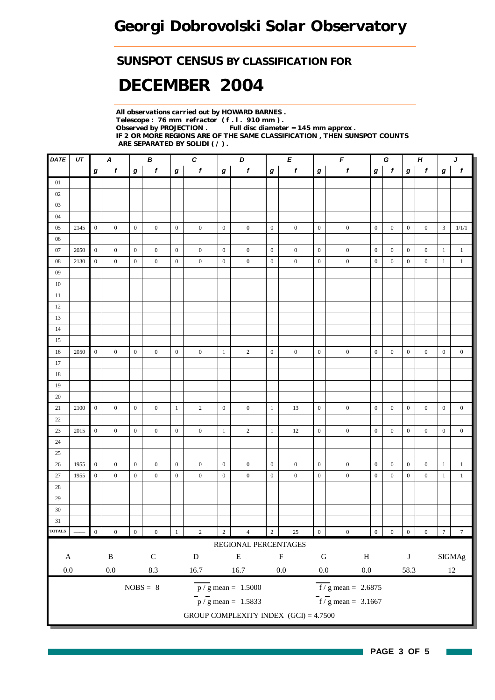### *SUNSPOT CENSUS BY CLASSIFICATION FOR*

# *DECEMBER 2004*

*All observations carried out by HOWARD BARNES . Telescope : 76 mm refractor ( f . l . 910 mm ) . Full disc diameter = 145 mm approx . IF 2 OR MORE REGIONS ARE OF THE SAME CLASSIFICATION , THEN SUNSPOT COUNTS ARE SEPARATED BY SOLIDI ( / ) .*

| DATE          | UT   |                  | A                |                  | B                |                  | $\pmb{C}$        |                  | D                                       |                  | E                |                  | F                                      |                  | G                |                  | $\boldsymbol{H}$ | J                |                  |
|---------------|------|------------------|------------------|------------------|------------------|------------------|------------------|------------------|-----------------------------------------|------------------|------------------|------------------|----------------------------------------|------------------|------------------|------------------|------------------|------------------|------------------|
|               |      | $\boldsymbol{g}$ | $\pmb{f}$        | $\boldsymbol{g}$ | f                | $\bm{g}$         | $\boldsymbol{f}$ | $\bm{g}$         | $\pmb{f}$                               | $\boldsymbol{g}$ | $\boldsymbol{f}$ | $\boldsymbol{g}$ | $\pmb{f}$                              | $\boldsymbol{g}$ | $\mathbf{f}$     | $\boldsymbol{g}$ | $\pmb{f}$        | $\boldsymbol{g}$ | $\pmb{f}$        |
| 01            |      |                  |                  |                  |                  |                  |                  |                  |                                         |                  |                  |                  |                                        |                  |                  |                  |                  |                  |                  |
| 02            |      |                  |                  |                  |                  |                  |                  |                  |                                         |                  |                  |                  |                                        |                  |                  |                  |                  |                  |                  |
| 03            |      |                  |                  |                  |                  |                  |                  |                  |                                         |                  |                  |                  |                                        |                  |                  |                  |                  |                  |                  |
| 04            |      |                  |                  |                  |                  |                  |                  |                  |                                         |                  |                  |                  |                                        |                  |                  |                  |                  |                  |                  |
| 05            | 2145 | $\mathbf{0}$     | $\boldsymbol{0}$ | $\mathbf{0}$     | $\mathbf{0}$     | $\boldsymbol{0}$ | $\boldsymbol{0}$ | $\boldsymbol{0}$ | $\boldsymbol{0}$                        | $\mathbf{0}$     | $\boldsymbol{0}$ | $\boldsymbol{0}$ | $\boldsymbol{0}$                       | $\overline{0}$   | $\overline{0}$   | $\overline{0}$   | $\boldsymbol{0}$ | 3                | 1/1/1            |
| 06            |      |                  |                  |                  |                  |                  |                  |                  |                                         |                  |                  |                  |                                        |                  |                  |                  |                  |                  |                  |
| 07            | 2050 | $\mathbf{0}$     | $\boldsymbol{0}$ | $\mathbf{0}$     | $\mathbf{0}$     | $\mathbf{0}$     | $\boldsymbol{0}$ | $\boldsymbol{0}$ | $\boldsymbol{0}$                        | $\mathbf{0}$     | $\mathbf{0}$     | $\boldsymbol{0}$ | $\boldsymbol{0}$                       | $\mathbf{0}$     | $\overline{0}$   | $\overline{0}$   | $\mathbf{0}$     | $\mathbf{1}$     | $\mathbf{1}$     |
| $08\,$        | 2130 | $\mathbf{0}$     | $\boldsymbol{0}$ | $\mathbf{0}$     | $\mathbf{0}$     | $\boldsymbol{0}$ | $\boldsymbol{0}$ | $\boldsymbol{0}$ | $\boldsymbol{0}$                        | $\mathbf{0}$     | $\boldsymbol{0}$ | $\mathbf{0}$     | $\boldsymbol{0}$                       | $\mathbf{0}$     | $\mathbf{0}$     | $\mathbf{0}$     | $\boldsymbol{0}$ | $\mathbf{1}$     | $\mathbf{1}$     |
| 09            |      |                  |                  |                  |                  |                  |                  |                  |                                         |                  |                  |                  |                                        |                  |                  |                  |                  |                  |                  |
| $10\,$        |      |                  |                  |                  |                  |                  |                  |                  |                                         |                  |                  |                  |                                        |                  |                  |                  |                  |                  |                  |
| $11\,$        |      |                  |                  |                  |                  |                  |                  |                  |                                         |                  |                  |                  |                                        |                  |                  |                  |                  |                  |                  |
| 12            |      |                  |                  |                  |                  |                  |                  |                  |                                         |                  |                  |                  |                                        |                  |                  |                  |                  |                  |                  |
| 13            |      |                  |                  |                  |                  |                  |                  |                  |                                         |                  |                  |                  |                                        |                  |                  |                  |                  |                  |                  |
| $14\,$        |      |                  |                  |                  |                  |                  |                  |                  |                                         |                  |                  |                  |                                        |                  |                  |                  |                  |                  |                  |
| 15            |      |                  |                  |                  |                  |                  |                  |                  |                                         |                  |                  |                  |                                        |                  |                  |                  |                  |                  |                  |
| 16            | 2050 | $\mathbf{0}$     | $\mathbf{0}$     | $\mathbf{0}$     | $\mathbf{0}$     | $\mathbf{0}$     | $\mathbf{0}$     | $\mathbf{1}$     | $\overline{c}$                          | $\mathbf{0}$     | $\boldsymbol{0}$ | $\mathbf{0}$     | $\boldsymbol{0}$                       | $\mathbf{0}$     | $\overline{0}$   | $\overline{0}$   | $\overline{0}$   | $\mathbf{0}$     | $\boldsymbol{0}$ |
| 17            |      |                  |                  |                  |                  |                  |                  |                  |                                         |                  |                  |                  |                                        |                  |                  |                  |                  |                  |                  |
| 18            |      |                  |                  |                  |                  |                  |                  |                  |                                         |                  |                  |                  |                                        |                  |                  |                  |                  |                  |                  |
| 19            |      |                  |                  |                  |                  |                  |                  |                  |                                         |                  |                  |                  |                                        |                  |                  |                  |                  |                  |                  |
| 20            |      |                  |                  |                  |                  |                  |                  |                  |                                         |                  |                  |                  |                                        |                  |                  |                  |                  |                  |                  |
| 21            | 2100 | $\mathbf{0}$     | $\mathbf{0}$     | $\mathbf{0}$     | $\overline{0}$   | $\mathbf{1}$     | $\sqrt{2}$       | $\boldsymbol{0}$ | $\overline{0}$                          | $\mathbf{1}$     | 13               | $\boldsymbol{0}$ | $\boldsymbol{0}$                       | $\mathbf{0}$     | $\overline{0}$   | $\overline{0}$   | $\mathbf{0}$     | $\mathbf{0}$     | $\boldsymbol{0}$ |
| 22            |      |                  |                  |                  |                  |                  |                  |                  |                                         |                  |                  |                  |                                        |                  |                  |                  |                  |                  |                  |
| 23            | 2015 | $\boldsymbol{0}$ | $\boldsymbol{0}$ | $\mathbf{0}$     | $\mathbf{0}$     | $\boldsymbol{0}$ | $\boldsymbol{0}$ | $\mathbf{1}$     | $\overline{c}$                          | $\mathbf{1}$     | 12               | $\boldsymbol{0}$ | $\boldsymbol{0}$                       | $\mathbf{0}$     | $\mathbf{0}$     | $\boldsymbol{0}$ | $\boldsymbol{0}$ | $\boldsymbol{0}$ | $\boldsymbol{0}$ |
| 24            |      |                  |                  |                  |                  |                  |                  |                  |                                         |                  |                  |                  |                                        |                  |                  |                  |                  |                  |                  |
| 25            |      |                  |                  |                  |                  |                  |                  |                  |                                         |                  |                  |                  |                                        |                  |                  |                  |                  |                  |                  |
| 26            | 1955 | $\mathbf{0}$     | $\boldsymbol{0}$ | $\overline{0}$   | $\mathbf{0}$     | $\mathbf{0}$     | $\boldsymbol{0}$ | $\overline{0}$   | $\boldsymbol{0}$                        | $\mathbf{0}$     | $\mathbf{0}$     | $\boldsymbol{0}$ | $\boldsymbol{0}$                       | $\mathbf{0}$     | $\overline{0}$   | $\overline{0}$   | $\boldsymbol{0}$ | $\mathbf{1}$     | $\mathbf{1}$     |
| $27\,$        | 1955 | $\boldsymbol{0}$ | $\boldsymbol{0}$ | $\mathbf{0}$     | $\mathbf{0}$     | $\boldsymbol{0}$ | $\boldsymbol{0}$ | $\boldsymbol{0}$ | $\boldsymbol{0}$                        | $\mathbf{0}$     | $\boldsymbol{0}$ | $\boldsymbol{0}$ | $\boldsymbol{0}$                       | $\mathbf{0}$     | $\mathbf{0}$     | $\mathbf{0}$     | $\boldsymbol{0}$ | $\mathbf{1}$     | $\mathbf{1}$     |
| 28            |      |                  |                  |                  |                  |                  |                  |                  |                                         |                  |                  |                  |                                        |                  |                  |                  |                  |                  |                  |
| 29            |      |                  |                  |                  |                  |                  |                  |                  |                                         |                  |                  |                  |                                        |                  |                  |                  |                  |                  |                  |
| $30\,$        |      |                  |                  |                  |                  |                  |                  |                  |                                         |                  |                  |                  |                                        |                  |                  |                  |                  |                  |                  |
| 31            |      |                  |                  |                  |                  |                  |                  |                  |                                         |                  |                  |                  |                                        |                  |                  |                  |                  |                  |                  |
| <b>TOTALS</b> |      | $\boldsymbol{0}$ | $\boldsymbol{0}$ | $\boldsymbol{0}$ | $\boldsymbol{0}$ | $\mathbf{1}$     | $\sqrt{2}$       | $\sqrt{2}$       | $\overline{4}$                          | $\overline{2}$   | 25               | $\boldsymbol{0}$ | $\boldsymbol{0}$                       | $\overline{0}$   | $\boldsymbol{0}$ | $\boldsymbol{0}$ | $\boldsymbol{0}$ | $\boldsymbol{7}$ | $\boldsymbol{7}$ |
|               |      |                  |                  |                  |                  |                  |                  |                  | REGIONAL PERCENTAGES                    |                  |                  |                  |                                        |                  |                  |                  |                  |                  |                  |
| $\mathbf A$   |      |                  | $\, {\bf B}$     |                  | ${\bf C}$        |                  | $\mathbf D$      |                  | ${\bf E}$                               |                  | $\mathbf F$      | ${\bf G}$        | $\, {\rm H}$                           |                  |                  | $\bf J$          |                  |                  | $\rm{SIGMAg}$    |
| $0.0\,$       |      |                  | $0.0\,$          |                  | 8.3              |                  | $16.7\,$         |                  | $16.7\,$                                |                  | $0.0\,$          | $0.0\,$          | $0.0\,$                                |                  |                  | 58.3             |                  |                  | $12\,$           |
|               |      |                  |                  |                  |                  |                  |                  |                  |                                         |                  |                  |                  |                                        |                  |                  |                  |                  |                  |                  |
|               |      |                  |                  |                  | $NOBS = 8$       |                  |                  |                  | $\overline{p}/g$ mean = 1.5000          |                  |                  |                  | $\overline{f}$ / g mean = 2.6875       |                  |                  |                  |                  |                  |                  |
|               |      |                  |                  |                  |                  |                  |                  |                  | $\frac{1}{p}$ / g mean = 1.5833         |                  |                  |                  | $\frac{1}{\text{f}}$ / g mean = 3.1667 |                  |                  |                  |                  |                  |                  |
|               |      |                  |                  |                  |                  |                  |                  |                  | GROUP COMPLEXITY INDEX $(GCI) = 4.7500$ |                  |                  |                  |                                        |                  |                  |                  |                  |                  |                  |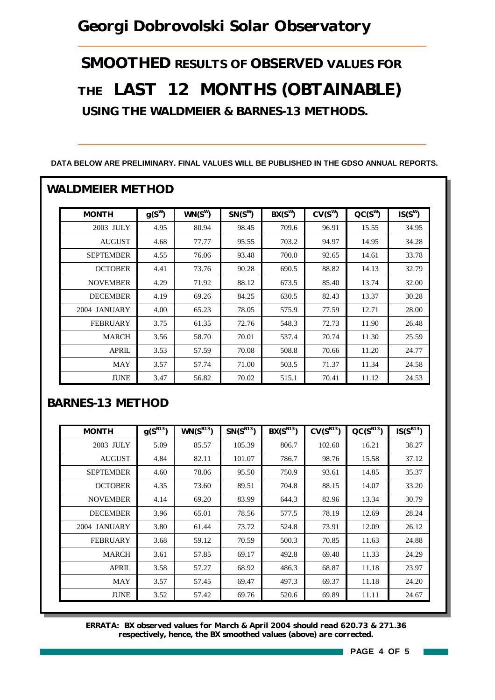# *Georgi Dobrovolski Solar Observatory*

*SMOOTHED RESULTS OF OBSERVED VALUES FOR THE LAST 12 MONTHS (OBTAINABLE) USING THE WALDMEIER & BARNES-13 METHODS.*

| <b>MONTH</b>     | $g(S^W)$ | $WN(S^W)$ | $SN(S^W)$ | $BX(S^W)$ | $CV(S^W)$ | $CC(S^W)$ | $IS(S^W)$ |
|------------------|----------|-----------|-----------|-----------|-----------|-----------|-----------|
| 2003 JULY        | 4.95     | 80.94     | 98.45     | 709.6     | 96.91     | 15.55     | 34.95     |
| <b>AUGUST</b>    | 4.68     | 77.77     | 95.55     | 703.2     | 94.97     | 14.95     | 34.28     |
| <b>SEPTEMBER</b> | 4.55     | 76.06     | 93.48     | 700.0     | 92.65     | 14.61     | 33.78     |
| <b>OCTOBER</b>   | 4.41     | 73.76     | 90.28     | 690.5     | 88.82     | 14.13     | 32.79     |
| <b>NOVEMBER</b>  | 4.29     | 71.92     | 88.12     | 673.5     | 85.40     | 13.74     | 32.00     |
| <b>DECEMBER</b>  | 4.19     | 69.26     | 84.25     | 630.5     | 82.43     | 13.37     | 30.28     |
| 2004 JANUARY     | 4.00     | 65.23     | 78.05     | 575.9     | 77.59     | 12.71     | 28.00     |
| <b>FEBRUARY</b>  | 3.75     | 61.35     | 72.76     | 548.3     | 72.73     | 11.90     | 26.48     |
| <b>MARCH</b>     | 3.56     | 58.70     | 70.01     | 537.4     | 70.74     | 11.30     | 25.59     |
| <b>APRIL</b>     | 3.53     | 57.59     | 70.08     | 508.8     | 70.66     | 11.20     | 24.77     |
| <b>MAY</b>       | 3.57     | 57.74     | 71.00     | 503.5     | 71.37     | 11.34     | 24.58     |
| <b>JUNE</b>      | 3.47     | 56.82     | 70.02     | 515.1     | 70.41     | 11.12     | 24.53     |

#### **DATA BELOW ARE PRELIMINARY. FINAL VALUES WILL BE PUBLISHED IN THE GDSO ANNUAL REPORTS.**

#### *BARNES-13 METHOD*

| <b>MONTH</b>     | $g(S^{B13})$ | $WN(S^{B13})$ | $SN(S^{B13})$ | $BX(S^{B13})$ | $CV(S^{B13})$ | $QC(S^{B13})$ | $IS(S^{B13})$ |
|------------------|--------------|---------------|---------------|---------------|---------------|---------------|---------------|
| 2003 JULY        | 5.09         | 85.57         | 105.39        | 806.7         | 102.60        | 16.21         | 38.27         |
| <b>AUGUST</b>    | 4.84         | 82.11         | 101.07        | 786.7         | 98.76         | 15.58         | 37.12         |
| <b>SEPTEMBER</b> | 4.60         | 78.06         | 95.50         | 750.9         | 93.61         | 14.85         | 35.37         |
| <b>OCTOBER</b>   | 4.35         | 73.60         | 89.51         | 704.8         | 88.15         | 14.07         | 33.20         |
| <b>NOVEMBER</b>  | 4.14         | 69.20         | 83.99         | 644.3         | 82.96         | 13.34         | 30.79         |
| <b>DECEMBER</b>  | 3.96         | 65.01         | 78.56         | 577.5         | 78.19         | 12.69         | 28.24         |
| 2004 JANUARY     | 3.80         | 61.44         | 73.72         | 524.8         | 73.91         | 12.09         | 26.12         |
| <b>FEBRUARY</b>  | 3.68         | 59.12         | 70.59         | 500.3         | 70.85         | 11.63         | 24.88         |
| <b>MARCH</b>     | 3.61         | 57.85         | 69.17         | 492.8         | 69.40         | 11.33         | 24.29         |
| APRIL            | 3.58         | 57.27         | 68.92         | 486.3         | 68.87         | 11.18         | 23.97         |
| MAY              | 3.57         | 57.45         | 69.47         | 497.3         | 69.37         | 11.18         | 24.20         |
| JUNE             | 3.52         | 57.42         | 69.76         | 520.6         | 69.89         | 11.11         | 24.67         |

*ERRATA: BX observed values for March & April 2004 should read 620.73 & 271.36 respectively, hence, the BX smoothed values (above) are corrected.*